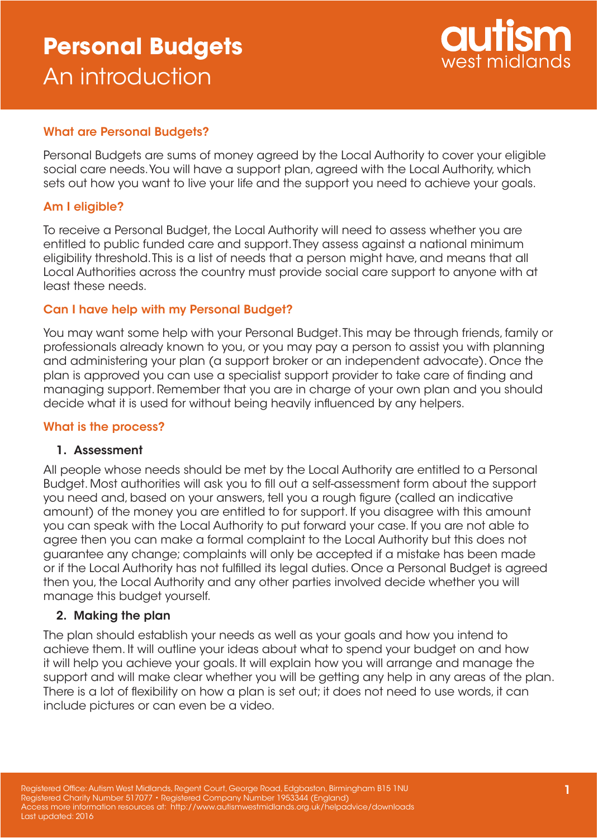# **Personal Budgets** An introduction



## What are Personal Budgets?

Personal Budgets are sums of money agreed by the Local Authority to cover your eligible social care needs. You will have a support plan, agreed with the Local Authority, which sets out how you want to live your life and the support you need to achieve your goals.

### Am I eligible?

To receive a Personal Budget, the Local Authority will need to assess whether you are entitled to public funded care and support. They assess against a national minimum eligibility threshold. This is a list of needs that a person might have, and means that all Local Authorities across the country must provide social care support to anyone with at least these needs.

### Can I have help with my Personal Budget?

You may want some help with your Personal Budget. This may be through friends, family or professionals already known to you, or you may pay a person to assist you with planning and administering your plan (a support broker or an independent advocate). Once the plan is approved you can use a specialist support provider to take care of finding and managing support. Remember that you are in charge of your own plan and you should decide what it is used for without being heavily influenced by any helpers.

### What is the process?

### 1. Assessment

All people whose needs should be met by the Local Authority are entitled to a Personal Budget. Most authorities will ask you to fill out a self-assessment form about the support you need and, based on your answers, tell you a rough figure (called an indicative amount) of the money you are entitled to for support. If you disagree with this amount you can speak with the Local Authority to put forward your case. If you are not able to agree then you can make a formal complaint to the Local Authority but this does not guarantee any change; complaints will only be accepted if a mistake has been made or if the Local Authority has not fulfilled its legal duties. Once a Personal Budget is agreed then you, the Local Authority and any other parties involved decide whether you will manage this budget yourself.

### 2. Making the plan

The plan should establish your needs as well as your goals and how you intend to achieve them. It will outline your ideas about what to spend your budget on and how it will help you achieve your goals. It will explain how you will arrange and manage the support and will make clear whether you will be getting any help in any areas of the plan. There is a lot of flexibility on how a plan is set out; it does not need to use words, it can include pictures or can even be a video.